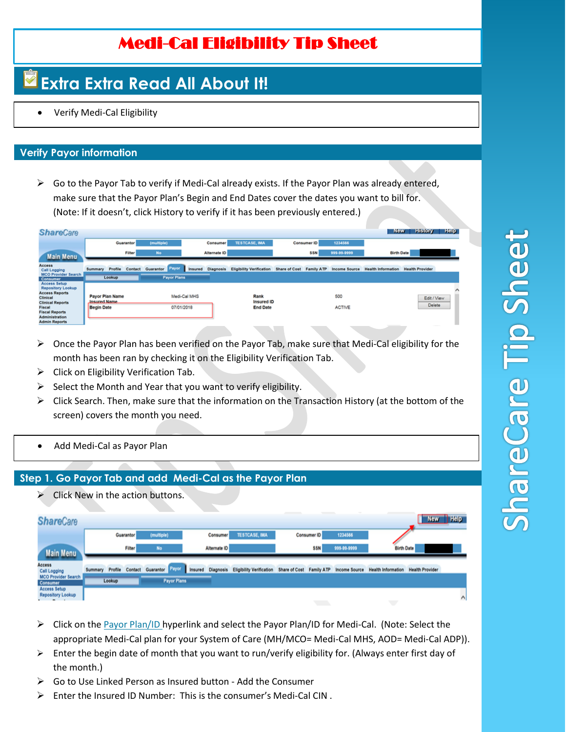## Medi-Cal Eligibility Tip Sheet

# **Extra Extra Read All About It!**

• Verify Medi-Cal Eligibility

#### **Verify Payor information**

 $\triangleright$  Go to the Payor Tab to verify if Medi-Cal already exists. If the Payor Plan was already entered, make sure that the Payor Plan's Begin and End Dates cover the dates you want to bill for. (Note: If it doesn't, click History to verify if it has been previously entered.)

| <b>ShareCare</b>                                                                                                                                   |                                                             |               |                    |              |                          |                                              |                          |             |                      | New                       | <b>History</b>         | Help |
|----------------------------------------------------------------------------------------------------------------------------------------------------|-------------------------------------------------------------|---------------|--------------------|--------------|--------------------------|----------------------------------------------|--------------------------|-------------|----------------------|---------------------------|------------------------|------|
|                                                                                                                                                    |                                                             | Guarantor     | (multiple)         |              | Consumer                 | <b>TESTCASE, IMA</b>                         |                          | Consumer ID | 1234566              |                           |                        |      |
| <b>Main Menu</b>                                                                                                                                   |                                                             | <b>Filter</b> | No                 |              | Alternate ID             |                                              |                          | <b>SSN</b>  | 999-99-9999          | <b>Birth Date</b>         |                        |      |
| Access<br><b>Call Logging</b>                                                                                                                      | Profile<br>Summary                                          | Contact       | Payor<br>Guarantor |              | <b>Insured</b> Diagnosis | <b>Eligibility Verification</b>              | Share of Cost Family ATP |             | Income Source        | <b>Health Information</b> | <b>Health Provider</b> |      |
| <b>MCO Provider Search</b><br><b>Consumer</b>                                                                                                      | Lookup                                                      |               | <b>Payor Plans</b> |              |                          |                                              |                          |             |                      |                           |                        |      |
| <b>Access Setup</b><br><b>Repository Lookup</b><br><b>Access Reports</b><br>Clinical<br><b>Clinical Reports</b><br>Fiscal<br><b>Fiscal Reports</b> | Payor Plan Name<br><b>Insured Name</b><br><b>Begin Date</b> |               | 07/01/2018         | Medi-Cal MHS |                          | Rank<br><b>Insured ID</b><br><b>End Date</b> |                          |             | 500<br><b>ACTIVE</b> |                           | Edit / View<br>Delete  |      |
| <b>Administration</b><br><b>Admin Reports</b>                                                                                                      |                                                             |               |                    |              |                          |                                              |                          |             |                      |                           |                        |      |

- $\triangleright$  Once the Payor Plan has been verified on the Payor Tab, make sure that Medi-Cal eligibility for the month has been ran by checking it on the Eligibility Verification Tab.
- $\triangleright$  Click on Eligibility Verification Tab.
- $\triangleright$  Select the Month and Year that you want to verify eligibility.
- $\triangleright$  Click Search. Then, make sure that the information on the Transaction History (at the bottom of the screen) covers the month you need.
- Add Medi-Cal as Payor Plan

#### **Step 1. Go Payor Tab and add Medi-Cal as the Payor Plan**

 $\triangleright$  Click New in the action buttons.

| <b>ShareCare</b>                         |                    |        |                         |                 |                      |                                                                                                                                                                                                                                                                                                                                                                                                                                                                            | $\overline{\phantom{a}}$ | <b>New</b>                                                                                                                                                                                                                                                                                                                                                                                                                                                                 | $\overline{\phantom{a}}$ Help |
|------------------------------------------|--------------------|--------|-------------------------|-----------------|----------------------|----------------------------------------------------------------------------------------------------------------------------------------------------------------------------------------------------------------------------------------------------------------------------------------------------------------------------------------------------------------------------------------------------------------------------------------------------------------------------|--------------------------|----------------------------------------------------------------------------------------------------------------------------------------------------------------------------------------------------------------------------------------------------------------------------------------------------------------------------------------------------------------------------------------------------------------------------------------------------------------------------|-------------------------------|
|                                          | Guarantor          |        | (multiple)              | <b>Consumer</b> | <b>TESTCASE, IMA</b> | Consumer ID                                                                                                                                                                                                                                                                                                                                                                                                                                                                | 1234566                  |                                                                                                                                                                                                                                                                                                                                                                                                                                                                            |                               |
| <b>Main Menu</b>                         |                    | Filter | No                      | Alternate ID    |                      | \$SN                                                                                                                                                                                                                                                                                                                                                                                                                                                                       | 999-99-9999              | <b>Birth Date</b>                                                                                                                                                                                                                                                                                                                                                                                                                                                          |                               |
| Access<br><b>Call Logging</b>            | Profile<br>Summary |        | Contact Guarantor Layer |                 |                      | Insured Diagnosis Eligibility Verification Share of Cost Family ATP                                                                                                                                                                                                                                                                                                                                                                                                        |                          | Income Source Health Information Health Provider                                                                                                                                                                                                                                                                                                                                                                                                                           |                               |
| <b>MCO Provider Search</b><br>Consumer   | Lookup             |        | <b>Payor Plans</b>      |                 |                      |                                                                                                                                                                                                                                                                                                                                                                                                                                                                            |                          |                                                                                                                                                                                                                                                                                                                                                                                                                                                                            |                               |
| Access Setup<br><b>Repository Lookup</b> |                    |        |                         |                 |                      | $\frac{1}{2} \left( \frac{1}{2} \right) \left( \frac{1}{2} \right) \left( \frac{1}{2} \right) \left( \frac{1}{2} \right) \left( \frac{1}{2} \right) \left( \frac{1}{2} \right) \left( \frac{1}{2} \right) \left( \frac{1}{2} \right) \left( \frac{1}{2} \right) \left( \frac{1}{2} \right) \left( \frac{1}{2} \right) \left( \frac{1}{2} \right) \left( \frac{1}{2} \right) \left( \frac{1}{2} \right) \left( \frac{1}{2} \right) \left( \frac{1}{2} \right) \left( \frac$ |                          | $\frac{1}{2} \left( \frac{1}{2} \right) \left( \frac{1}{2} \right) \left( \frac{1}{2} \right) \left( \frac{1}{2} \right) \left( \frac{1}{2} \right) \left( \frac{1}{2} \right) \left( \frac{1}{2} \right) \left( \frac{1}{2} \right) \left( \frac{1}{2} \right) \left( \frac{1}{2} \right) \left( \frac{1}{2} \right) \left( \frac{1}{2} \right) \left( \frac{1}{2} \right) \left( \frac{1}{2} \right) \left( \frac{1}{2} \right) \left( \frac{1}{2} \right) \left( \frac$ | $\wedge$                      |

- ➢ Click on the Payor Plan/ID hyperlink and select the Payor Plan/ID for Medi-Cal. (Note: Select the appropriate Medi-Cal plan for your System of Care (MH/MCO= Medi-Cal MHS, AOD= Medi-Cal ADP)).
- $\triangleright$  Enter the begin date of month that you want to run/verify eligibility for. (Always enter first day of the month.)
- ➢ Go to Use Linked Person as Insured button Add the Consumer
- $\triangleright$  Enter the Insured ID Number: This is the consumer's Medi-Cal CIN.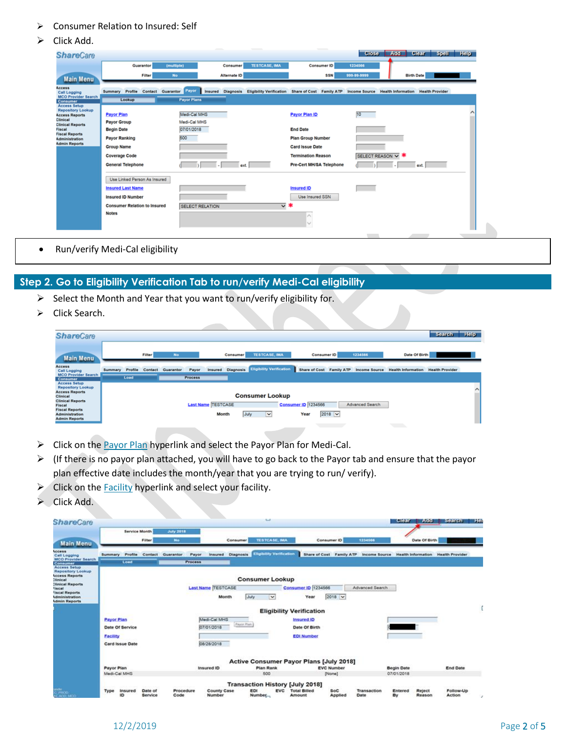- ➢ Consumer Relation to Insured: Self
- ➢ Click Add.

| <b>ShareCare</b>                                                                                 |                                                                 |                                   |                      |                                                     | <b>Close</b>      | Add Clear Spell Help                                                                                                 |  |
|--------------------------------------------------------------------------------------------------|-----------------------------------------------------------------|-----------------------------------|----------------------|-----------------------------------------------------|-------------------|----------------------------------------------------------------------------------------------------------------------|--|
|                                                                                                  | Guarantor                                                       | (multiple)<br>Consumer            | <b>TESTCASE, IMA</b> | Consumer ID                                         | 1234566           |                                                                                                                      |  |
| <b>Main Menu</b>                                                                                 | Filter                                                          | No<br>Alternate ID                |                      | <b>SSN</b>                                          | 999-99-9999       | <b>Birth Date</b>                                                                                                    |  |
| Access<br>Call Logging<br><b>MCO Provider Search</b>                                             | Summary Profile<br>Contact Guarantor<br>Lookup                  | Payor<br><b>Payor Plans</b>       |                      |                                                     |                   | Insured Diagnosis Eligibility Verification Share of Cost Family ATP Income Source Health Information Health Provider |  |
| Consumer<br><b>Access Setup</b><br><b>Repository Lookup</b><br><b>Access Reports</b><br>Clinical | <b>Payor Plan</b>                                               | Medi-Cal MHS                      |                      | Payor Plan ID                                       | 10                |                                                                                                                      |  |
| <b>Clinical Reports</b><br>Fiscal<br><b>Fiscal Reports</b><br>Administration                     | <b>Payor Group</b><br><b>Begin Date</b><br><b>Payor Ranking</b> | Medi-Cal MHS<br>07/01/2018<br>500 | <b>End Date</b>      | <b>Plan Group Number</b>                            |                   |                                                                                                                      |  |
| <b>Admin Reports</b>                                                                             | <b>Group Name</b><br><b>Coverage Code</b>                       |                                   |                      | <b>Card Issue Date</b><br><b>Termination Reason</b> |                   |                                                                                                                      |  |
|                                                                                                  | <b>General Telephone</b>                                        | ext.                              |                      | Pre-Cert MH/SA Telephone                            | SELECT REASON V * | ext.                                                                                                                 |  |
|                                                                                                  | Use Linked Person As Insured                                    |                                   |                      |                                                     |                   |                                                                                                                      |  |
|                                                                                                  | <b>Insured Last Name</b><br><b>Insured ID Number</b>            |                                   |                      | <b>Insured ID</b><br>Use Insured SSN                |                   |                                                                                                                      |  |
|                                                                                                  | <b>Consumer Relation to Insured</b><br><b>Notes</b>             | <b>SELECT RELATION</b>            | ⊽∗                   | $\scriptstyle\wedge$                                |                   |                                                                                                                      |  |
|                                                                                                  |                                                                 |                                   |                      |                                                     |                   |                                                                                                                      |  |
|                                                                                                  |                                                                 |                                   |                      |                                                     |                   |                                                                                                                      |  |

• Run/verify Medi-Cal eligibility

### **Step 2. Go to Eligibility Verification Tab to run/verify Medi-Cal eligibility**

- ➢ Select the Month and Year that you want to run/verify eligibility for.
- ➢ Click Search.

| <b>ShareCare</b>                                                                                                                                                                                    |         |         |        |                   |                |                                    |          |                                                   |                                    |             |                          |                 |                           | <b>Search</b>          | <b>Help</b> |
|-----------------------------------------------------------------------------------------------------------------------------------------------------------------------------------------------------|---------|---------|--------|-------------------|----------------|------------------------------------|----------|---------------------------------------------------|------------------------------------|-------------|--------------------------|-----------------|---------------------------|------------------------|-------------|
| <b>Main Menu</b>                                                                                                                                                                                    |         |         | Filter | No                |                |                                    | Consumer | <b>TESTCASE, IMA</b>                              |                                    | Consumer ID |                          | 1234566         | Date Of Birth             |                        |             |
| <b>Access</b><br><b>Call Logging</b>                                                                                                                                                                | Summary | Profile |        | Contact Guarantor | Payor          |                                    |          | <b>Insured</b> Diagnosis Eligibility Verification |                                    |             | Share of Cost Family ATP | Income Source   | <b>Health Information</b> | <b>Health Provider</b> |             |
| <b>MCO Provider Search</b><br>Consumer                                                                                                                                                              |         | Load    |        |                   | <b>Process</b> |                                    |          |                                                   |                                    |             |                          |                 |                           |                        |             |
| <b>Access Setup</b><br><b>Repository Lookup</b><br><b>Access Reports</b><br>Clinical<br><b>Clinical Reports</b><br>Fiscal<br><b>Fiscal Reports</b><br><b>Administration</b><br><b>Admin Reports</b> |         |         |        |                   |                | <b>Last Name TESTCASE</b><br>Month |          | <b>Consumer Lookup</b><br>July<br>×               | <b>Consumer ID 1234566</b><br>Year |             | $2018$ $\vee$            | Advanced Search |                           |                        | ^           |

- $\triangleright$  Click on the Payor Plan hyperlink and select the Payor Plan for Medi-Cal.
- ➢ (If there is no payor plan attached, you will have to go back to the Payor tab and ensure that the payor plan effective date includes the month/year that you are trying to run/ verify).
- ➢ Click on the Facility hyperlink and select your facility.
- ➢ Click Add.

|                                                        |                    | <b>Service Month</b> | <b>July 2918</b>  |                |                           |             |                                 |                                                |                   |                 |                   |               |                                                                           |
|--------------------------------------------------------|--------------------|----------------------|-------------------|----------------|---------------------------|-------------|---------------------------------|------------------------------------------------|-------------------|-----------------|-------------------|---------------|---------------------------------------------------------------------------|
| <b>Main Menu</b>                                       |                    | Filter               | No.               |                |                           | Consumer    | <b>TESTCASE IMA</b>             |                                                | Consumer ID       | 1234566         |                   | Date Of Birth |                                                                           |
| Access<br><b>Call Logging</b>                          | Profile<br>Summary |                      | Contact Guarantor | Payor          | <b>Insured</b>            | Diagnosis   | <b>Eligibility Verification</b> |                                                |                   |                 |                   |               | Share of Cost Family ATP Income Source Health Information Health Provider |
| <b>MCO Provider Search</b><br>Consumer<br>Access Setup | Load               |                      |                   | <b>Process</b> |                           |             |                                 |                                                |                   |                 |                   |               |                                                                           |
| <b>Repository Lookup</b><br><b>Access Reports</b>      |                    |                      |                   |                |                           |             |                                 |                                                |                   |                 |                   |               |                                                                           |
| "Unical<br><b>Clinical Reports</b>                     |                    |                      |                   |                |                           |             | <b>Consumer Lookup</b>          |                                                |                   |                 |                   |               |                                                                           |
| <b>Incal</b><br>lacal Reports                          |                    |                      |                   |                | <b>Last Name TESTCASE</b> |             |                                 | <b>Consumer ID 1234566</b>                     |                   | Advanced Search |                   |               |                                                                           |
| Administration<br><b>Admin Reports</b>                 |                    |                      |                   |                | Month                     | July        | $\checkmark$                    | Year                                           | $2018$ $\vee$     |                 |                   |               |                                                                           |
|                                                        |                    |                      |                   |                |                           |             |                                 | <b>Eligibility Verification</b>                |                   |                 |                   |               |                                                                           |
|                                                        | Payor Plan         |                      |                   |                | Medi-Cal MHS              |             |                                 | <b>Insured ID</b>                              |                   |                 |                   |               |                                                                           |
|                                                        | Date Of Service    |                      |                   |                | 07/01/2018                | Payor Plan: |                                 | Date Of Birth                                  |                   |                 |                   |               |                                                                           |
|                                                        | Facility           |                      |                   |                |                           |             |                                 | <b>EDI Number</b>                              |                   |                 |                   |               |                                                                           |
|                                                        | Card Issue Date    |                      |                   |                | 08/28/2018                |             |                                 |                                                |                   |                 |                   |               |                                                                           |
|                                                        |                    |                      |                   |                |                           |             |                                 | <b>Active Consumer Payor Plans [July 2018]</b> |                   |                 |                   |               |                                                                           |
|                                                        | Payor Plan         |                      |                   |                | <b>Insured ID</b>         |             | <b>Plan Rank</b>                |                                                | <b>EVC Number</b> |                 | <b>Begin Date</b> |               | <b>End Date</b>                                                           |
|                                                        | Medi-Cal MHS       |                      |                   |                |                           |             | 500                             |                                                | [None]            |                 | 07/01/2018        |               |                                                                           |
|                                                        |                    |                      |                   |                |                           |             |                                 | <b>Transaction History [July 2018]</b>         |                   |                 |                   |               |                                                                           |
|                                                        |                    |                      |                   |                |                           |             |                                 |                                                |                   |                 |                   |               |                                                                           |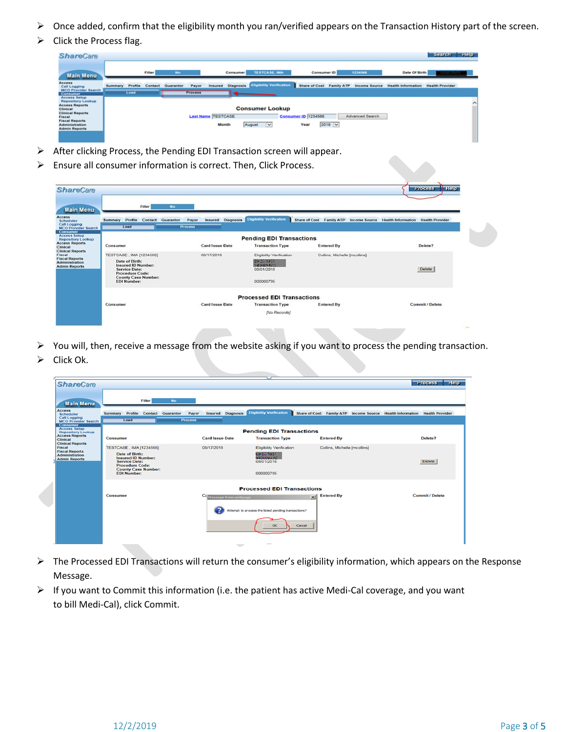- ➢ Once added, confirm that the eligibility month you ran/verified appears on the Transaction History part of the screen.
- ➢ Click the Process flag.

| <b>ShareCare</b>                                             |                |         |         |           |                |                                    |          |                                           |                                    |               |                                        |                           | <b>Search</b>          | <b>Help</b> |
|--------------------------------------------------------------|----------------|---------|---------|-----------|----------------|------------------------------------|----------|-------------------------------------------|------------------------------------|---------------|----------------------------------------|---------------------------|------------------------|-------------|
| <b>Main Menu</b>                                             |                |         | Filter  | No.       |                |                                    | Consumer | <b>TESTCASE, IMA</b>                      |                                    | Consumer ID   | 1234566                                | Date Of Birth             |                        |             |
| Access<br><b>Call Logging</b><br><b>MCO Provider Search</b>  | <b>Summary</b> | Profile | Contact | Guaranter | Payer          | Insured                            |          | <b>Diagnosis</b> Eligibility Verification |                                    |               | Share of Cost Family ATP Income Source | <b>Health Information</b> | <b>Health Provider</b> |             |
| Consumer<br><b>Access Setup</b><br><b>Repository Lookup</b>  |                | Load    |         |           | <b>Process</b> |                                    |          |                                           |                                    |               |                                        |                           |                        |             |
| <b>Access Reports</b><br>Clinical<br><b>Clinical Reports</b> |                |         |         |           |                |                                    |          | <b>Consumer Lookup</b>                    |                                    |               |                                        |                           |                        |             |
| Fiscal<br><b>Fiscal Reports</b><br><b>Administration</b>     |                |         |         |           |                | <b>Last Name TESTCASE</b><br>Month |          | August<br>$\overline{\mathbf{v}}$         | <b>Consumer ID 1234566</b><br>Year | $2018$ $\vee$ | Advanced Search                        |                           |                        |             |
| <b>Admin Reports</b>                                         |                |         |         |           |                |                                    |          |                                           |                                    |               |                                        |                           |                        |             |
|                                                              |                |         |         |           |                |                                    |          |                                           |                                    |               |                                        |                           |                        |             |

- ➢ After clicking Process, the Pending EDI Transaction screen will appear.
- ➢ Ensure all consumer information is correct. Then, Click Process.

| <b>Main Menu</b>                                                                                                 | Filter<br><b>No</b>                                                                                                                                            |                                              |                                                                                  |                                                                           |                 |  |  |
|------------------------------------------------------------------------------------------------------------------|----------------------------------------------------------------------------------------------------------------------------------------------------------------|----------------------------------------------|----------------------------------------------------------------------------------|---------------------------------------------------------------------------|-----------------|--|--|
| Scheduler<br>Call Logging<br><b>MCO Provider Search</b>                                                          | Summary Profile Contact Guarantor<br>Load                                                                                                                      | Insured Diagnosis<br>Payor<br><b>Process</b> | <b>Eligibility Verification</b>                                                  | Share of Cost Family ATP Income Source Health Information Health Provider |                 |  |  |
| Consumer<br><b>Access Setup</b><br><b>Repository Lookup</b>                                                      |                                                                                                                                                                |                                              | <b>Pending EDI Transactions</b>                                                  |                                                                           |                 |  |  |
| <b>Access Reports</b>                                                                                            | Consumer                                                                                                                                                       | Card Issue Date                              | <b>Transaction Type</b>                                                          | <b>Entered By</b>                                                         | Delete?         |  |  |
| Clinical<br><b>Clinical Reports</b><br>Fiscal<br><b>Fiscal Reports</b><br>Administration<br><b>Admin Reports</b> | TESTCASE, IMA [1234566]<br>Date of Birth:<br>Insured ID Number:<br><b>Service Date:</b><br>Procedure Code:<br><b>County Case Number:</b><br><b>EDI Number:</b> | 08/17/2018                                   | Eligibility Verification<br>09/20/19:01<br>5409091200<br>08/01/2018<br>000000795 | Collins, Michelle [mcollins]                                              | Delete          |  |  |
|                                                                                                                  |                                                                                                                                                                |                                              | <b>Processed EDI Transactions</b>                                                |                                                                           |                 |  |  |
|                                                                                                                  | Consumer                                                                                                                                                       | Card Issue Date                              | <b>Transaction Type</b>                                                          | <b>Entered By</b>                                                         | Commit / Delete |  |  |

➢ You will, then, receive a message from the website asking if you want to process the pending transaction. ➢ Click Ok.

| <b>ShareCare</b>                                                                                            |                                                                                                                                                                                     |                         |                                                                                               |                                                                           | <b>Process Field</b>   |
|-------------------------------------------------------------------------------------------------------------|-------------------------------------------------------------------------------------------------------------------------------------------------------------------------------------|-------------------------|-----------------------------------------------------------------------------------------------|---------------------------------------------------------------------------|------------------------|
| <b>Main Menu</b>                                                                                            | Filter                                                                                                                                                                              | No                      |                                                                                               |                                                                           |                        |
| <b>Access</b><br>Scheduler<br><b>Call Logging</b><br><b>MCO Provider Search</b><br>Consumer                 | Summary Profile<br>Contact Guarantor<br>Load                                                                                                                                        | Payor<br><b>Process</b> | <b>Eligibility Verification</b><br><b>Insured</b> Diagnosis                                   | Share of Cost Family ATP Income Source Health Information Health Provider |                        |
| <b>Access Setup</b><br><b>Repository Lookup</b><br><b>Access Reports</b><br><b>Clinical</b>                 | Consumer                                                                                                                                                                            | <b>Card Issue Date</b>  | <b>Pending EDI Transactions</b><br><b>Transaction Type</b>                                    | <b>Entered By</b>                                                         | Delete?                |
| <b>Clinical Reports</b><br>Fiscal<br><b>Fiscal Reports</b><br><b>Administration</b><br><b>Admin Reports</b> | <b>TESTCASE, IMA [1234566]</b><br>Date of Birth:<br><b>Insured ID Number:</b><br><b>Service Date:</b><br><b>Procedure Code:</b><br><b>County Case Number:</b><br><b>EDI Number:</b> | 08/17/2018              | <b>Eligibility Verification</b><br>es ponsas -<br><b>CENTRALIA</b><br>08/01/2018<br>000000795 | Collins, Michelle [mcollins]                                              | <b>Delete</b>          |
|                                                                                                             | Consumer                                                                                                                                                                            |                         | <b>Processed EDI Transactions</b><br>Hessage from webpage                                     | <b>Entered By</b><br>x1                                                   | <b>Commit / Delete</b> |
|                                                                                                             |                                                                                                                                                                                     |                         | Attempt to process the listed pending transactions?<br>$\alpha$                               | Cancel                                                                    |                        |

- ➢ The Processed EDI Transactions will return the consumer's eligibility information, which appears on the Response Message.
- ➢ If you want to Commit this information (i.e. the patient has active Medi-Cal coverage, and you want to bill Medi-Cal), click Commit.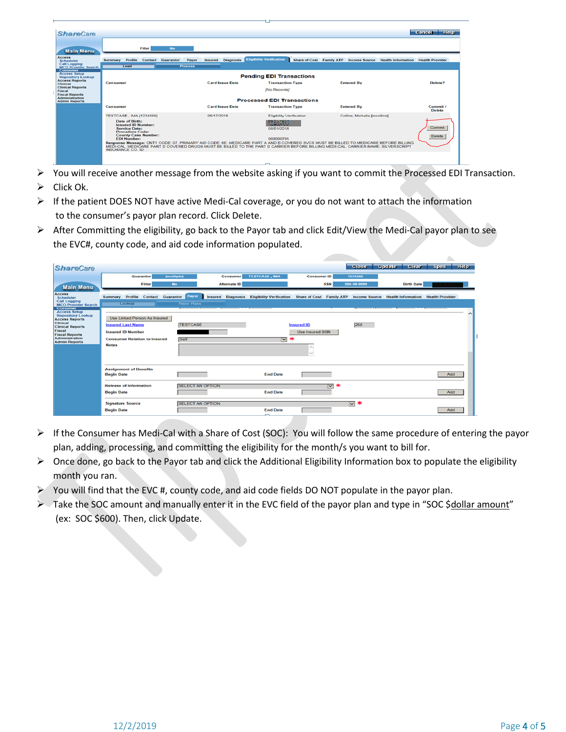|                                                                        |                                                                                                                                                                                                                                                                                                                    |                          |                                                |                                                                           | Cancel Help        |
|------------------------------------------------------------------------|--------------------------------------------------------------------------------------------------------------------------------------------------------------------------------------------------------------------------------------------------------------------------------------------------------------------|--------------------------|------------------------------------------------|---------------------------------------------------------------------------|--------------------|
| <b>ShareCare</b>                                                       |                                                                                                                                                                                                                                                                                                                    |                          |                                                |                                                                           |                    |
| <b>Main Menu</b>                                                       | Filter<br><b>No</b>                                                                                                                                                                                                                                                                                                |                          |                                                |                                                                           |                    |
| <b>Access</b><br>Scheduler                                             | Summary<br>Profile<br>Contact Guarantor<br>Payor                                                                                                                                                                                                                                                                   | <b>Insured</b> Diagnosis | <b>Eligibility Verification</b>                | Share of Cost Family ATP Income Source Health Information Health Provider |                    |
| Call Logging<br><b>MCO</b> Provider Search                             | Load<br><b>Process</b>                                                                                                                                                                                                                                                                                             |                          |                                                |                                                                           |                    |
| Consumer<br><b>Access Setup</b><br><b>Repository Lookup</b>            |                                                                                                                                                                                                                                                                                                                    |                          | <b>Pending EDI Transactions</b>                |                                                                           |                    |
| <b>Access Reports</b><br>Clinical                                      | Consumer                                                                                                                                                                                                                                                                                                           | <b>Card Issue Date</b>   | <b>Transaction Type</b>                        | <b>Entered By</b>                                                         | Delete?            |
| <b>Clinical Reports</b><br>Fiscal                                      |                                                                                                                                                                                                                                                                                                                    |                          | <b>[No Records]</b>                            |                                                                           |                    |
| <b>Fiscal Reports</b><br><b>Administration</b><br><b>Admin Reports</b> |                                                                                                                                                                                                                                                                                                                    |                          | <b>Processed EDI Transactions</b>              |                                                                           |                    |
|                                                                        | Consumer                                                                                                                                                                                                                                                                                                           | <b>Card Issue Date</b>   | <b>Transaction Type</b>                        | <b>Entered By</b>                                                         | Commit I<br>Delete |
|                                                                        | <b>TESTCASE. IMA [1234566]</b>                                                                                                                                                                                                                                                                                     | 08/17/2018               | Eligibility Verification                       | Collins, Michelle [mcollins]                                              |                    |
|                                                                        | Date of Birth:<br><b>Insured ID Number:</b><br><b>Service Date:</b><br><b>Procedure Code:</b><br><b>County Case Number:</b>                                                                                                                                                                                        |                          | 109102-003<br><b>Success Des</b><br>08/01/2018 |                                                                           | Commit<br>Delete   |
|                                                                        | <b>FDI Number:</b><br>Response Message: CNTY CODE: 07. PRIMARY AID CODE: 6E. MEDICARE PART A AND B COVERED SVCS MUST BE BILLED TO MEDICARE BEFORE BILLING<br>MEDI-CAL. MEDICARE PART D COVERED DRUGS MUST BE BILLED TO THE PART D CARRIER BEFORE BILLING MEDI-CAL. CARRIER NAME: SILVERSCRIPT<br>INSURANCE CO. ID: |                          | 000000795                                      |                                                                           |                    |
|                                                                        |                                                                                                                                                                                                                                                                                                                    |                          | $\sim$                                         |                                                                           |                    |

- ➢ You will receive another message from the website asking if you want to commit the Processed EDI Transaction.
- $\triangleright$  Click Ok.
- $\triangleright$  If the patient DOES NOT have active Medi-Cal coverage, or you do not want to attach the information to the consumer's payor plan record. Click Delete.
- $\triangleright$  After Committing the eligibility, go back to the Payor tab and click Edit/View the Medi-Cal payor plan to see the EVC#, county code, and aid code information populated.

| <b>ShareCare</b>                                                         |                                                     |                                  |                      |                                                                     | <b>Close</b> | <b>Update</b><br>Clear <sup>1</sup> | Spell Help             |  |
|--------------------------------------------------------------------------|-----------------------------------------------------|----------------------------------|----------------------|---------------------------------------------------------------------|--------------|-------------------------------------|------------------------|--|
|                                                                          | Guarantor                                           | (multiple)<br>Consumer           | <b>TESTCASE, IMA</b> | <b>Consumer ID</b>                                                  | 1234566      |                                     |                        |  |
| <b>Main Menu</b>                                                         | Filter                                              | <b>Alternate ID</b><br><b>No</b> |                      | <b>SSN</b>                                                          | 999-99-9999  | <b>Birth Date</b>                   |                        |  |
| <b>Access</b><br>Scheduler                                               | Profile<br>Contact Guarantor<br>Summary             | Payor                            |                      | Insured Diagnosis Eligibility Verification Share of Cost Family ATP |              | Income Source Health Information    | <b>Health Provider</b> |  |
| Call Logging<br><b>MCO Provider Search</b><br><b>Consumer</b>            | Lookup                                              | <b>Payor Plans</b>               |                      |                                                                     |              |                                     |                        |  |
| <b>Access Setup</b><br><b>Repository Lookup</b><br><b>Access Reports</b> | Use Linked Person As Insured                        |                                  |                      |                                                                     |              |                                     |                        |  |
| Clinical<br><b>Clinical Reports</b>                                      | <b>Insured Last Name</b>                            | <b>TESTCASE</b>                  |                      | <b>Insured ID</b>                                                   | 268          |                                     |                        |  |
| Fiscal<br><b>Fiscal Reports</b>                                          | <b>Insured ID Number</b>                            |                                  |                      | <b>Use Insured SSN</b>                                              |              |                                     |                        |  |
| Administration<br><b>Admin Reports</b>                                   | <b>Consumer Relation to Insured</b><br><b>Notes</b> | Self                             | ত ≭                  |                                                                     |              |                                     |                        |  |
|                                                                          |                                                     |                                  |                      |                                                                     |              |                                     |                        |  |
|                                                                          |                                                     |                                  |                      |                                                                     |              |                                     |                        |  |
|                                                                          | <b>Assignment of Benefits</b><br><b>Begin Date</b>  |                                  | <b>End Date</b>      |                                                                     |              |                                     | Add                    |  |
|                                                                          |                                                     |                                  |                      |                                                                     |              |                                     |                        |  |
|                                                                          | <b>Release of Information</b><br><b>Begin Date</b>  | <b>SELECT AN OPTION</b>          | <b>End Date</b>      | $\overline{\mathbf{v}}$<br>эķ                                       |              |                                     | Add                    |  |
|                                                                          |                                                     |                                  |                      |                                                                     |              |                                     |                        |  |
|                                                                          | <b>Signature Source</b><br><b>Begin Date</b>        | <b>SELECT AN OPTION</b>          | <b>End Date</b>      |                                                                     | ত ≭          |                                     | Add                    |  |
|                                                                          |                                                     |                                  |                      |                                                                     |              |                                     |                        |  |

- ➢ If the Consumer has Medi-Cal with a Share of Cost (SOC): You will follow the same procedure of entering the payor plan, adding, processing, and committing the eligibility for the month/s you want to bill for.
- ➢ Once done, go back to the Payor tab and click the Additional Eligibility Information box to populate the eligibility month you ran.
- ➢ You will find that the EVC #, county code, and aid code fields DO NOT populate in the payor plan.
- ➢ Take the SOC amount and manually enter it in the EVC field of the payor plan and type in "SOC \$dollar amount" (ex: SOC \$600). Then, click Update.